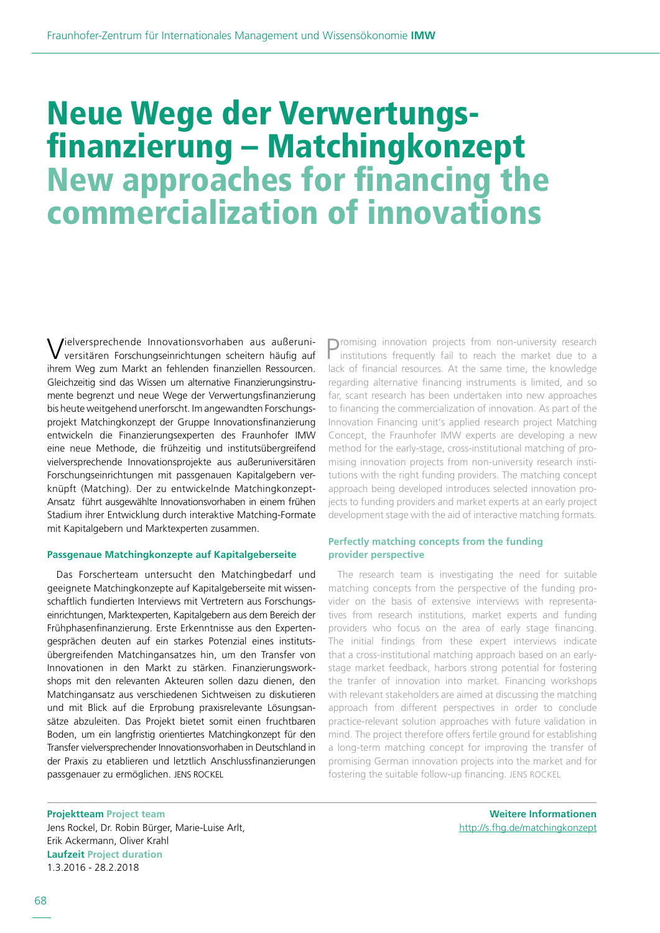# Neue Wege der Verwertungs- finanzierung – Matchingkonzept New approaches for financing the commercialization of innovations

Vielversprechende Innovationsvorhaben aus außeruni-versitären Forschungseinrichtungen scheitern häufig auf ihrem Weg zum Markt an fehlenden finanziellen Ressourcen. Gleichzeitig sind das Wissen um alternative Finanzierungsinstrumente begrenzt und neue Wege der Verwertungsfinanzierung bis heute weitgehend unerforscht. Im angewandten Forschungsprojekt Matchingkonzept der Gruppe Innovationsfinanzierung entwickeln die Finanzierungsexperten des Fraunhofer IMW eine neue Methode, die frühzeitig und institutsübergreifend vielversprechende Innovationsprojekte aus außeruniversitären Forschungseinrichtungen mit passgenauen Kapitalgebern verknüpft (Matching). Der zu entwickelnde Matchingkonzept-Ansatz führt ausgewählte Innovationsvorhaben in einem frühen Stadium ihrer Entwicklung durch interaktive Matching-Formate mit Kapitalgebern und Marktexperten zusammen.

### **Passgenaue Matchingkonzepte auf Kapitalgeberseite**

Das Forscherteam untersucht den Matchingbedarf und geeignete Matchingkonzepte auf Kapitalgeberseite mit wissenschaftlich fundierten Interviews mit Vertretern aus Forschungseinrichtungen, Marktexperten, Kapitalgebern aus dem Bereich der Frühphasenfinanzierung. Erste Erkenntnisse aus den Expertengesprächen deuten auf ein starkes Potenzial eines institutsübergreifenden Matchingansatzes hin, um den Transfer von Innovationen in den Markt zu stärken. Finanzierungsworkshops mit den relevanten Akteuren sollen dazu dienen, den Matchingansatz aus verschiedenen Sichtweisen zu diskutieren und mit Blick auf die Erprobung praxisrelevante Lösungsansätze abzuleiten. Das Projekt bietet somit einen fruchtbaren Boden, um ein langfristig orientiertes Matchingkonzept für den Transfer vielversprechender Innovationsvorhaben in Deutschland in der Praxis zu etablieren und letztlich Anschlussfinanzierungen passgenauer zu ermöglichen. JENS ROCKEL

Promising innovation projects from non-university research institutions frequently fail to reach the market due to a lack of financial resources. At the same time, the knowledge regarding alternative financing instruments is limited, and so far, scant research has been undertaken into new approaches to financing the commercialization of innovation. As part of the Innovation Financing unit's applied research project Matching Concept, the Fraunhofer IMW experts are developing a new method for the early-stage, cross-institutional matching of promising innovation projects from non-university research institutions with the right funding providers. The matching concept approach being developed introduces selected innovation projects to funding providers and market experts at an early project development stage with the aid of interactive matching formats.

## **Perfectly matching concepts from the funding provider perspective**

The research team is investigating the need for suitable matching concepts from the perspective of the funding provider on the basis of extensive interviews with representatives from research institutions, market experts and funding providers who focus on the area of early stage financing. The initial findings from these expert interviews indicate that a cross-institutional matching approach based on an earlystage market feedback, harbors strong potential for fostering the tranfer of innovation into market. Financing workshops with relevant stakeholders are aimed at discussing the matching approach from different perspectives in order to conclude practice-relevant solution approaches with future validation in mind. The project therefore offers fertile ground for establishing a long-term matching concept for improving the transfer of promising German innovation projects into the market and for fostering the suitable follow-up financing. JENS ROCKEL

**Projektteam Project team** Jens Rockel, Dr. Robin Bürger, Marie-Luise Arlt, Erik Ackermann, Oliver Krahl **Laufzeit Project duration** 1.3.2016 - 28.2.2018